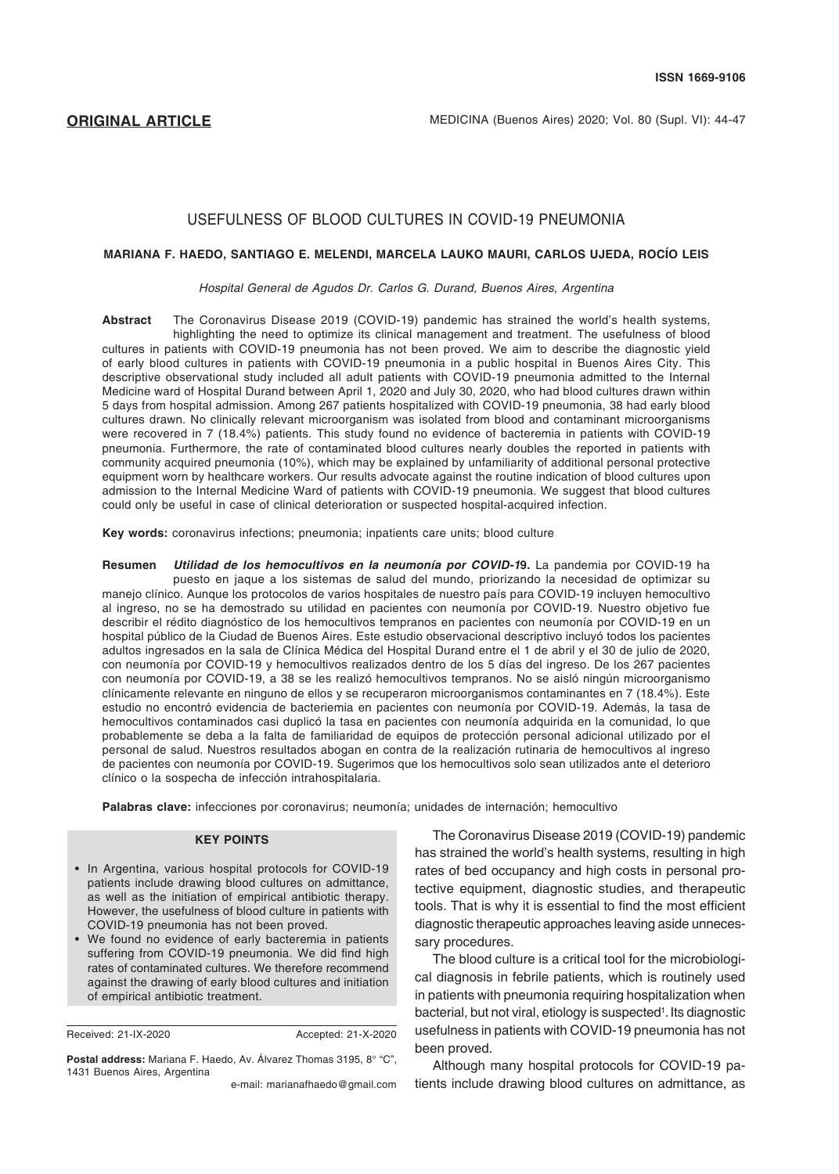# USEFULNESS OF BLOOD CULTURES IN COVID-19 PNEUMONIA

#### **MARIANA F. HAEDO, SANTIAGO E. MELENDI, MARCELA LAUKO MAURI, CARLOS UJEDA, ROCÍO LEIS**

*Hospital General de Agudos Dr. Carlos G. Durand, Buenos Aires, Argentina*

**Abstract** The Coronavirus Disease 2019 (COVID-19) pandemic has strained the world's health systems, highlighting the need to optimize its clinical management and treatment. The usefulness of blood cultures in patients with COVID-19 pneumonia has not been proved. We aim to describe the diagnostic yield of early blood cultures in patients with COVID-19 pneumonia in a public hospital in Buenos Aires City. This descriptive observational study included all adult patients with COVID-19 pneumonia admitted to the Internal Medicine ward of Hospital Durand between April 1, 2020 and July 30, 2020, who had blood cultures drawn within 5 days from hospital admission. Among 267 patients hospitalized with COVID-19 pneumonia, 38 had early blood cultures drawn. No clinically relevant microorganism was isolated from blood and contaminant microorganisms were recovered in 7 (18.4%) patients. This study found no evidence of bacteremia in patients with COVID-19 pneumonia. Furthermore, the rate of contaminated blood cultures nearly doubles the reported in patients with community acquired pneumonia (10%), which may be explained by unfamiliarity of additional personal protective equipment worn by healthcare workers. Our results advocate against the routine indication of blood cultures upon admission to the Internal Medicine Ward of patients with COVID-19 pneumonia. We suggest that blood cultures could only be useful in case of clinical deterioration or suspected hospital-acquired infection.

**Key words:** coronavirus infections; pneumonia; inpatients care units; blood culture

**Resumen** *Utilidad de los hemocultivos en la neumonía por COVID-1***9.** La pandemia por COVID-19 ha puesto en jaque a los sistemas de salud del mundo, priorizando la necesidad de optimizar su manejo clínico. Aunque los protocolos de varios hospitales de nuestro país para COVID-19 incluyen hemocultivo al ingreso, no se ha demostrado su utilidad en pacientes con neumonía por COVID-19. Nuestro objetivo fue describir el rédito diagnóstico de los hemocultivos tempranos en pacientes con neumonía por COVID-19 en un hospital público de la Ciudad de Buenos Aires. Este estudio observacional descriptivo incluyó todos los pacientes adultos ingresados en la sala de Clínica Médica del Hospital Durand entre el 1 de abril y el 30 de julio de 2020, con neumonía por COVID-19 y hemocultivos realizados dentro de los 5 días del ingreso. De los 267 pacientes con neumonía por COVID-19, a 38 se les realizó hemocultivos tempranos. No se aisló ningún microorganismo clínicamente relevante en ninguno de ellos y se recuperaron microorganismos contaminantes en 7 (18.4%). Este estudio no encontró evidencia de bacteriemia en pacientes con neumonía por COVID-19. Además, la tasa de hemocultivos contaminados casi duplicó la tasa en pacientes con neumonía adquirida en la comunidad, lo que probablemente se deba a la falta de familiaridad de equipos de protección personal adicional utilizado por el personal de salud. Nuestros resultados abogan en contra de la realización rutinaria de hemocultivos al ingreso de pacientes con neumonía por COVID-19. Sugerimos que los hemocultivos solo sean utilizados ante el deterioro clínico o la sospecha de infección intrahospitalaria.

**Palabras clave:** infecciones por coronavirus; neumonía; unidades de internación; hemocultivo

#### **KEY POINTS**

- In Argentina, various hospital protocols for COVID-19 patients include drawing blood cultures on admittance, as well as the initiation of empirical antibiotic therapy. However, the usefulness of blood culture in patients with COVID-19 pneumonia has not been proved.
- • We found no evidence of early bacteremia in patients suffering from COVID-19 pneumonia. We did find high rates of contaminated cultures. We therefore recommend against the drawing of early blood cultures and initiation of empirical antibiotic treatment.

Received: 21-IX-2020 Accepted: 21-X-2020

**Postal address:** Mariana F. Haedo, Av. Álvarez Thomas 3195, 8° "C", 1431 Buenos Aires, Argentina

e-mail: [marianafhaedo@gmail.com](mailto:marianafhaedo@gmail.com)

The Coronavirus Disease 2019 (COVID-19) pandemic has strained the world's health systems, resulting in high rates of bed occupancy and high costs in personal protective equipment, diagnostic studies, and therapeutic tools. That is why it is essential to find the most efficient diagnostic therapeutic approaches leaving aside unnecessary procedures.

The blood culture is a critical tool for the microbiological diagnosis in febrile patients, which is routinely used in patients with pneumonia requiring hospitalization when bacterial, but not viral, etiology is suspected<sup>1</sup>. Its diagnostic usefulness in patients with COVID-19 pneumonia has not been proved.

Although many hospital protocols for COVID-19 patients include drawing blood cultures on admittance, as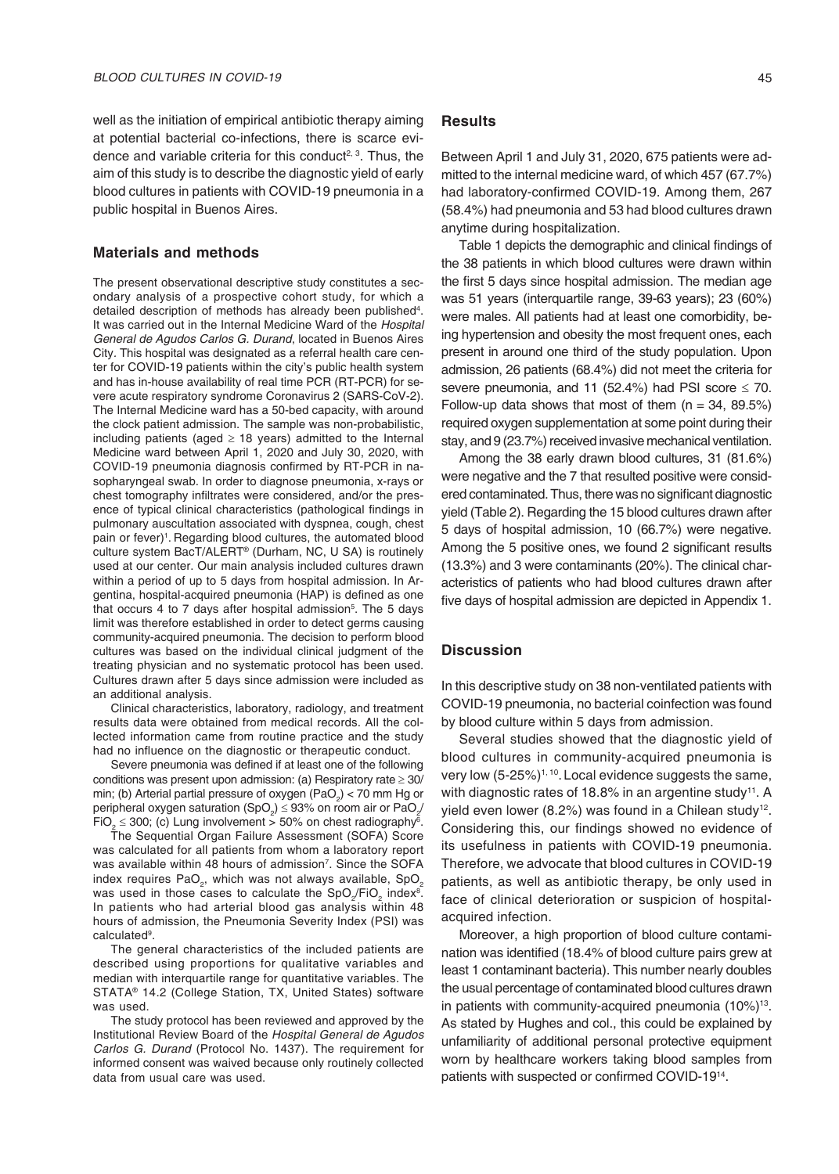well as the initiation of empirical antibiotic therapy aiming at potential bacterial co-infections, there is scarce evidence and variable criteria for this conduct<sup>2, 3</sup>. Thus, the aim of this study is to describe the diagnostic yield of early blood cultures in patients with COVID-19 pneumonia in a public hospital in Buenos Aires.

### **Materials and methods**

The present observational descriptive study constitutes a secondary analysis of a prospective cohort study, for which a detailed description of methods has already been published<sup>4</sup>. It was carried out in the Internal Medicine Ward of the *Hospital General de Agudos Carlos G. Durand*, located in Buenos Aires City*.* This hospital was designated as a referral health care center for COVID-19 patients within the city's public health system and has in-house availability of real time PCR (RT-PCR) for severe acute respiratory syndrome Coronavirus 2 (SARS-CoV-2). The Internal Medicine ward has a 50-bed capacity, with around the clock patient admission. The sample was non-probabilistic, including patients (aged  $\geq$  18 years) admitted to the Internal Medicine ward between April 1, 2020 and July 30, 2020, with COVID-19 pneumonia diagnosis confirmed by RT-PCR in nasopharyngeal swab. In order to diagnose pneumonia, x-rays or chest tomography infiltrates were considered, and/or the presence of typical clinical characteristics (pathological findings in pulmonary auscultation associated with dyspnea, cough, chest pain or fever)<sup>1</sup>. Regarding blood cultures, the automated blood culture system BacT/ALERT® (Durham, NC, U SA) is routinely used at our center. Our main analysis included cultures drawn within a period of up to 5 days from hospital admission. In Argentina, hospital-acquired pneumonia (HAP) is defined as one that occurs 4 to 7 days after hospital admission<sup>5</sup>. The 5 days limit was therefore established in order to detect germs causing community-acquired pneumonia. The decision to perform blood cultures was based on the individual clinical judgment of the treating physician and no systematic protocol has been used. Cultures drawn after 5 days since admission were included as an additional analysis.

Clinical characteristics, laboratory, radiology, and treatment results data were obtained from medical records. All the collected information came from routine practice and the study had no influence on the diagnostic or therapeutic conduct.

Severe pneumonia was defined if at least one of the following conditions was present upon admission: (a) Respiratory rate ≥ 30/ min; (b) Arterial partial pressure of oxygen (PaO<sub>2</sub>) < 70 mm Hg or peripheral oxygen saturation (SpO<sub>2</sub>) ≤ 93% on room air or PaO<sub>2</sub>/  $FiO<sub>2</sub> \le 300$ ; (c) Lung involvement > 50% on chest radiography<sup>6</sup>.

The Sequential Organ Failure Assessment (SOFA) Score was calculated for all patients from whom a laboratory report was available within 48 hours of admission<sup>7</sup>. Since the SOFA index requires PaO<sub>2</sub>, which was not always available, SpO<sub>2</sub> was used in those cases to calculate the  $SpO_2/FiO_2$  index<sup>8</sup>. In patients who had arterial blood gas analysis within 48 hours of admission, the Pneumonia Severity Index (PSI) was calculated<sup>9</sup>.

The general characteristics of the included patients are described using proportions for qualitative variables and median with interquartile range for quantitative variables. The STATA® 14.2 (College Station, TX, United States) software was used.

The study protocol has been reviewed and approved by the Institutional Review Board of the *Hospital General de Agudos Carlos G. Durand* (Protocol No. 1437). The requirement for informed consent was waived because only routinely collected data from usual care was used.

## **Results**

Between April 1 and July 31, 2020, 675 patients were admitted to the internal medicine ward, of which 457 (67.7%) had laboratory-confirmed COVID-19. Among them, 267 (58.4%) had pneumonia and 53 had blood cultures drawn anytime during hospitalization.

Table 1 depicts the demographic and clinical findings of the 38 patients in which blood cultures were drawn within the first 5 days since hospital admission. The median age was 51 years (interquartile range, 39-63 years); 23 (60%) were males. All patients had at least one comorbidity, being hypertension and obesity the most frequent ones, each present in around one third of the study population. Upon admission, 26 patients (68.4%) did not meet the criteria for severe pneumonia, and 11 (52.4%) had PSI score  $\leq$  70. Follow-up data shows that most of them  $(n = 34, 89.5\%)$ required oxygen supplementation at some point during their stay, and 9 (23.7%) received invasive mechanical ventilation.

Among the 38 early drawn blood cultures, 31 (81.6%) were negative and the 7 that resulted positive were considered contaminated.Thus, there was no significant diagnostic yield (Table 2). Regarding the 15 blood cultures drawn after 5 days of hospital admission, 10 (66.7%) were negative. Among the 5 positive ones, we found 2 significant results (13.3%) and 3 were contaminants (20%). The clinical characteristics of patients who had blood cultures drawn after five days of hospital admission are depicted in Appendix 1.

# **Discussion**

In this descriptive study on 38 non-ventilated patients with COVID-19 pneumonia, no bacterial coinfection was found by blood culture within 5 days from admission.

Several studies showed that the diagnostic yield of blood cultures in community-acquired pneumonia is very low (5-25%)<sup>1, 10</sup>. Local evidence suggests the same, with diagnostic rates of 18.8% in an argentine study<sup>11</sup>. A yield even lower (8.2%) was found in a Chilean study<sup>12</sup>. Considering this, our findings showed no evidence of its usefulness in patients with COVID-19 pneumonia. Therefore, we advocate that blood cultures in COVID-19 patients, as well as antibiotic therapy, be only used in face of clinical deterioration or suspicion of hospitalacquired infection.

Moreover, a high proportion of blood culture contamination was identified (18.4% of blood culture pairs grew at least 1 contaminant bacteria). This number nearly doubles the usual percentage of contaminated blood cultures drawn in patients with community-acquired pneumonia  $(10\%)^{13}$ . As stated by Hughes and col., this could be explained by unfamiliarity of additional personal protective equipment worn by healthcare workers taking blood samples from patients with suspected or confirmed COVID-1914.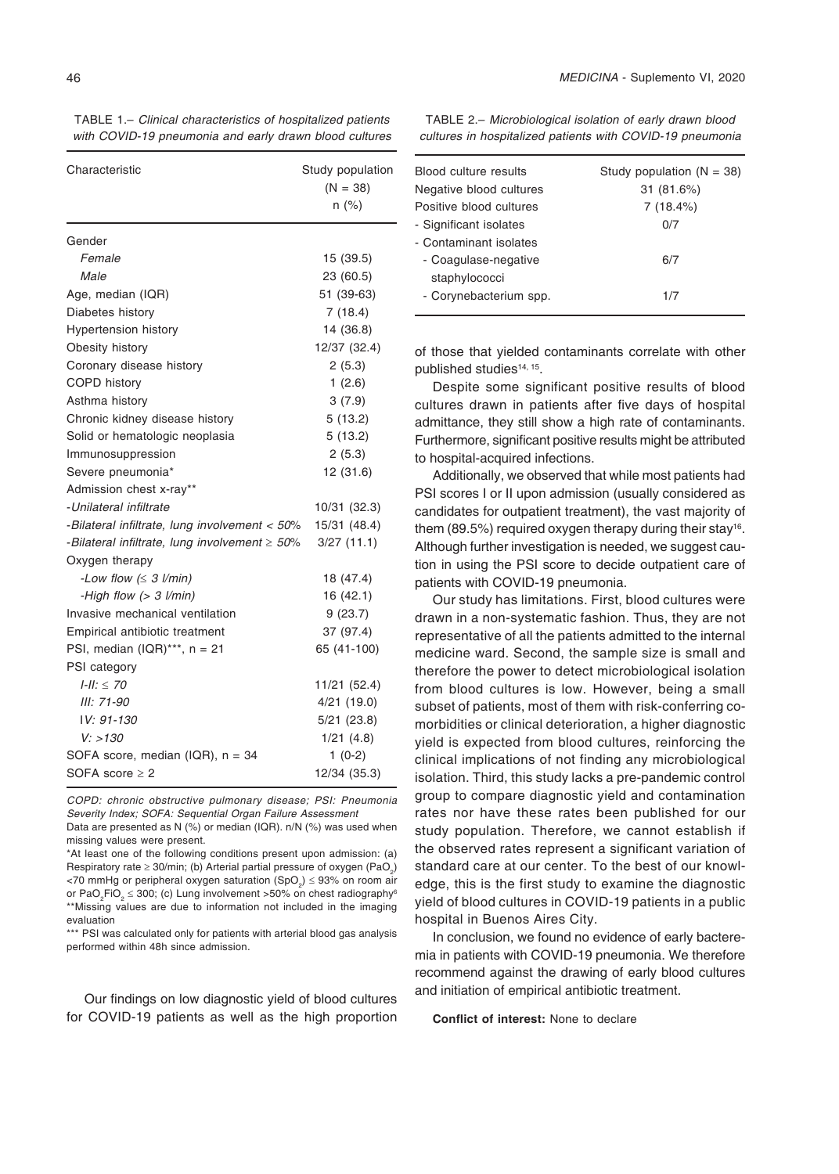TABLE 1.– *Clinical characteristics of hospitalized patients with COVID-19 pneumonia and early drawn blood cultures*

| Characteristic                                      | Study population<br>$(N = 38)$<br>$n$ (%) |
|-----------------------------------------------------|-------------------------------------------|
| Gender                                              |                                           |
| Female                                              | 15 (39.5)                                 |
| Male                                                | 23 (60.5)                                 |
| Age, median (IQR)                                   | 51 (39-63)                                |
| Diabetes history                                    | 7(18.4)                                   |
| <b>Hypertension history</b>                         | 14 (36.8)                                 |
| Obesity history                                     | 12/37 (32.4)                              |
| Coronary disease history                            | 2(5.3)                                    |
| COPD history                                        | 1(2.6)                                    |
| Asthma history                                      | 3(7.9)                                    |
| Chronic kidney disease history                      | 5(13.2)                                   |
| Solid or hematologic neoplasia                      | 5(13.2)                                   |
| Immunosuppression                                   | 2(5.3)                                    |
| Severe pneumonia*                                   | 12 (31.6)                                 |
| Admission chest x-ray**                             |                                           |
| -Unilateral infiltrate                              | 10/31 (32.3)                              |
| -Bilateral infiltrate, lung involvement < 50%       | 15/31 (48.4)                              |
| -Bilateral infiltrate, lung involvement $\geq 50\%$ | 3/27(11.1)                                |
| Oxygen therapy                                      |                                           |
| -Low flow $(\leq 3 \text{ l/min})$                  | 18 (47.4)                                 |
| -High flow $(> 3$ l/min)                            | 16 (42.1)                                 |
| Invasive mechanical ventilation                     | 9(23.7)                                   |
| Empirical antibiotic treatment                      | 37 (97.4)                                 |
| PSI, median $( IQR)^{***}$ , n = 21                 | 65 (41-100)                               |
| PSI category                                        |                                           |
| $I-II: \leq 70$                                     | 11/21 (52.4)                              |
| III: 71-90                                          | 4/21(19.0)                                |
| IV: 91-130                                          | $5/21$ (23.8)                             |
| V: > 130                                            | 1/21(4.8)                                 |
| SOFA score, median (IQR), n = 34                    | $1(0-2)$                                  |
| SOFA score $\geq 2$                                 | 12/34 (35.3)                              |

COPD: chronic obstructive pulmonary disease; PSI: Pneumonia Severity Index; SOFA: Sequential Organ Failure Assessment

Data are presented as N (%) or median (IQR). n/N (%) was used when missing values were present.

\*At least one of the following conditions present upon admission: (a) Respiratory rate ≥ 30/min; (b) Arterial partial pressure of oxygen (PaO<sub>2</sub>) <70 mmHg or peripheral oxygen saturation (SpO<sub>2</sub>)  $\leq$  93% on room air or PaO $_2$ FiO $_2$   $\leq$  300; (c) Lung involvement >50% on chest radiography $^6$ \*\*Missing values are due to information not included in the imaging evaluation

\*\*\* PSI was calculated only for patients with arterial blood gas analysis performed within 48h since admission.

Our findings on low diagnostic yield of blood cultures for COVID-19 patients as well as the high proportion

TABLE 2.– *Microbiological isolation of early drawn blood cultures in hospitalized patients with COVID-19 pneumonia*

| Blood culture results   | Study population $(N = 38)$ |
|-------------------------|-----------------------------|
| Negative blood cultures | 31 (81.6%)                  |
| Positive blood cultures | 7(18.4%)                    |
| - Significant isolates  | 0/7                         |
| - Contaminant isolates  |                             |
| - Coagulase-negative    | 6/7                         |
| staphylococci           |                             |
| - Corynebacterium spp.  | 1/7                         |
|                         |                             |

of those that yielded contaminants correlate with other published studies14, 15.

Despite some significant positive results of blood cultures drawn in patients after five days of hospital admittance, they still show a high rate of contaminants. Furthermore, significant positive results might be attributed to hospital-acquired infections.

Additionally, we observed that while most patients had PSI scores I or II upon admission (usually considered as candidates for outpatient treatment), the vast majority of them (89.5%) required oxygen therapy during their stay<sup>16</sup>. Although further investigation is needed, we suggest caution in using the PSI score to decide outpatient care of patients with COVID-19 pneumonia.

Our study has limitations. First, blood cultures were drawn in a non-systematic fashion. Thus, they are not representative of all the patients admitted to the internal medicine ward. Second, the sample size is small and therefore the power to detect microbiological isolation from blood cultures is low. However, being a small subset of patients, most of them with risk-conferring comorbidities or clinical deterioration, a higher diagnostic yield is expected from blood cultures, reinforcing the clinical implications of not finding any microbiological isolation. Third, this study lacks a pre-pandemic control group to compare diagnostic yield and contamination rates nor have these rates been published for our study population. Therefore, we cannot establish if the observed rates represent a significant variation of standard care at our center. To the best of our knowledge, this is the first study to examine the diagnostic yield of blood cultures in COVID-19 patients in a public hospital in Buenos Aires City.

In conclusion, we found no evidence of early bacteremia in patients with COVID-19 pneumonia. We therefore recommend against the drawing of early blood cultures and initiation of empirical antibiotic treatment.

**Conflict of interest:** None to declare